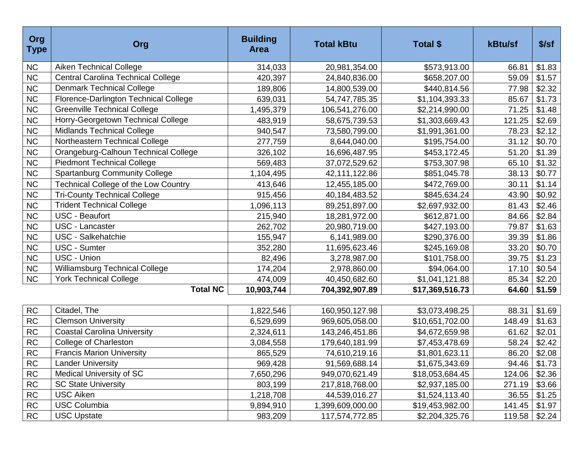| Org<br><b>Type</b> | Org                                       | <b>Building</b><br><b>Area</b> | <b>Total kBtu</b> | Total \$        | kBtu/sf | $$$ /sf |
|--------------------|-------------------------------------------|--------------------------------|-------------------|-----------------|---------|---------|
| <b>NC</b>          | <b>Aiken Technical College</b>            | 314,033                        | 20,981,354.00     | \$573,913.00    | 66.81   | \$1.83  |
| ${\sf NC}$         | <b>Central Carolina Technical College</b> | 420,397                        | 24,840,836.00     | \$658,207.00    | 59.09   | \$1.57  |
| NC                 | <b>Denmark Technical College</b>          | 189,806                        | 14,800,539.00     | \$440,814.56    | 77.98   | \$2.32  |
| <b>NC</b>          | Florence-Darlington Technical College     | 639,031                        | 54,747,785.35     | \$1,104,393.33  | 85.67   | \$1.73  |
| ${\sf NC}$         | <b>Greenville Technical College</b>       | 1,495,379                      | 106,541,276.00    | \$2,214,990.00  | 71.25   | \$1.48  |
| ${\sf NC}$         | Horry-Georgetown Technical College        | 483,919                        | 58,675,739.53     | \$1,303,669.43  | 121.25  | \$2.69  |
| ${\sf NC}$         | <b>Midlands Technical College</b>         | 940,547                        | 73,580,799.00     | \$1,991,361.00  | 78.23   | \$2.12  |
| <b>NC</b>          | Northeastern Technical College            | 277,759                        | 8,644,040.00      | \$195,754.00    | 31.12   | \$0.70  |
| NC                 | Orangeburg-Calhoun Technical College      | 326,102                        | 16,696,487.95     | \$453,172.45    | 51.20   | \$1.39  |
| <b>NC</b>          | <b>Piedmont Technical College</b>         | 569,483                        | 37,072,529.62     | \$753,307.98    | 65.10   | \$1.32  |
| ${\sf NC}$         | <b>Spartanburg Community College</b>      | 1,104,495                      | 42,111,122.86     | \$851,045.78    | 38.13   | \$0.77  |
| ${\sf NC}$         | Technical College of the Low Country      | 413,646                        | 12,455,185.00     | \$472,769.00    | 30.11   | \$1.14  |
| <b>NC</b>          | <b>Tri-County Technical College</b>       | 915,456                        | 40,184,483.52     | \$845,634.24    | 43.90   | \$0.92  |
| NC                 | <b>Trident Technical College</b>          | 1,096,113                      | 89,251,897.00     | \$2,697,932.00  | 81.43   | \$2.46  |
| <b>NC</b>          | <b>USC - Beaufort</b>                     | 215,940                        | 18,281,972.00     | \$612,871.00    | 84.66   | \$2.84  |
| <b>NC</b>          | USC - Lancaster                           | 262,702                        | 20,980,719.00     | \$427,193.00    | 79.87   | \$1.63  |
| ${\sf NC}$         | USC - Salkehatchie                        | 155,947                        | 6,141,989.00      | \$290,376.00    | 39.39   | \$1.86  |
| <b>NC</b>          | <b>USC - Sumter</b>                       | 352,280                        | 11,695,623.46     | \$245,169.08    | 33.20   | \$0.70  |
| <b>NC</b>          | USC - Union                               | 82,496                         | 3,278,987.00      | \$101,758.00    | 39.75   | \$1.23  |
| ${\sf NC}$         | <b>Williamsburg Technical College</b>     | 174,204                        | 2,978,860.00      | \$94,064.00     | 17.10   | \$0.54  |
| NC                 | <b>York Technical College</b>             | 474,009                        | 40,450,682.60     | \$1,041,121.88  | 85.34   | \$2.20  |
|                    | <b>Total NC</b>                           | 10,903,744                     | 704,392,907.89    | \$17,369,516.73 | 64.60   | \$1.59  |
|                    |                                           |                                |                   |                 |         |         |
| ${\sf RC}$         | Citadel, The                              | 1,822,546                      | 160,950,127.98    | \$3,073,498.25  | 88.31   | \$1.69  |
| ${\sf RC}$         | <b>Clemson University</b>                 | 6,529,699                      | 969,605,058.00    | \$10,651,702.00 | 148.49  | \$1.63  |
| <b>RC</b>          | <b>Coastal Carolina University</b>        | 2,324,611                      | 143,246,451.86    | \$4,672,659.98  | 61.62   | \$2.01  |
| ${\sf RC}$         | <b>College of Charleston</b>              | 3,084,558                      | 179,640,181.99    | \$7,453,478.69  | 58.24   | \$2.42  |
| RC                 | <b>Francis Marion University</b>          | 865,529                        | 74,610,219.16     | \$1,801,623.11  | 86.20   | \$2.08  |
| <b>RC</b>          | <b>Lander University</b>                  | 969,428                        | 91,569,688.14     | \$1,675,343.69  | 94.46   | \$1.73  |
| ${\sf RC}$         | Medical University of SC                  | 7,650,296                      | 949,070,621.49    | \$18,053,684.45 | 124.06  | \$2.36  |
| <b>RC</b>          | <b>SC State University</b>                | 803,199                        | 217,818,768.00    | \$2,937,185.00  | 271.19  | \$3.66  |
| ${\sf RC}$         | <b>USC Aiken</b>                          | 1,218,708                      | 44,539,016.27     | \$1,524,113.40  | 36.55   | \$1.25  |
| <b>RC</b>          | <b>USC Columbia</b>                       | 9,894,910                      | 1,399,609,000.00  | \$19,453,982.00 | 141.45  | \$1.97  |
| <b>RC</b>          | <b>USC Upstate</b>                        | 983,209                        | 117,574,772.85    | \$2,204,325.76  | 119.58  | \$2.24  |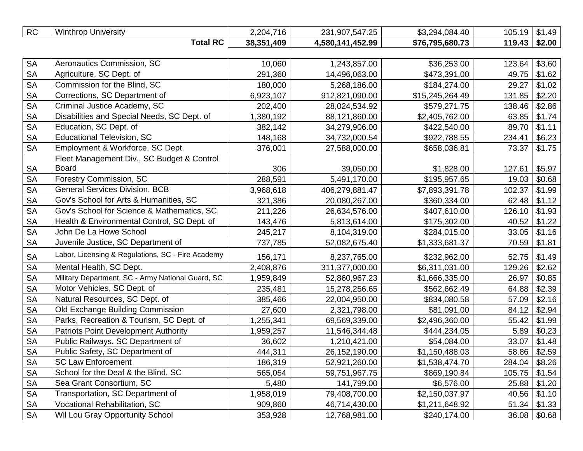| <b>RC</b> | Winthrop<br>University | 71G<br>2,204,<br>טו | 231,907,547.25<br>. .547.25 | \$3,294,084.40  | 105.19 | $\Lambda$ Q<br>ີ∪ ≀ ∙⊤ |
|-----------|------------------------|---------------------|-----------------------------|-----------------|--------|------------------------|
|           | <b>Total RC</b>        | 38,351<br>,409      | 4,580,141,452.99            | \$76,795,680.73 | 119.43 | \$2.00                 |

| <b>SA</b> | Aeronautics Commission, SC                        | 10,060    | 1,243,857.00   | \$36,253.00     | 123.64 | \$3.60 |
|-----------|---------------------------------------------------|-----------|----------------|-----------------|--------|--------|
| <b>SA</b> | Agriculture, SC Dept. of                          | 291,360   | 14,496,063.00  | \$473,391.00    | 49.75  | \$1.62 |
| <b>SA</b> | Commission for the Blind, SC                      | 180,000   | 5,268,186.00   | \$184,274.00    | 29.27  | \$1.02 |
| <b>SA</b> | Corrections, SC Department of                     | 6,923,107 | 912,821,090.00 | \$15,245,264.49 | 131.85 | \$2.20 |
| <b>SA</b> | Criminal Justice Academy, SC                      | 202,400   | 28,024,534.92  | \$579,271.75    | 138.46 | \$2.86 |
| <b>SA</b> | Disabilities and Special Needs, SC Dept. of       | 1,380,192 | 88,121,860.00  | \$2,405,762.00  | 63.85  | \$1.74 |
| <b>SA</b> | Education, SC Dept. of                            | 382,142   | 34,279,906.00  | \$422,540.00    | 89.70  | \$1.11 |
| <b>SA</b> | <b>Educational Television, SC</b>                 | 148,168   | 34,732,000.54  | \$922,788.55    | 234.41 | \$6.23 |
| <b>SA</b> | Employment & Workforce, SC Dept.                  | 376,001   | 27,588,000.00  | \$658,036.81    | 73.37  | \$1.75 |
|           | Fleet Management Div., SC Budget & Control        |           |                |                 |        |        |
| <b>SA</b> | <b>Board</b>                                      | 306       | 39,050.00      | \$1,828.00      | 127.61 | \$5.97 |
| <b>SA</b> | Forestry Commission, SC                           | 288,591   | 5,491,170.00   | \$195,957.65    | 19.03  | \$0.68 |
| <b>SA</b> | <b>General Services Division, BCB</b>             | 3,968,618 | 406,279,881.47 | \$7,893,391.78  | 102.37 | \$1.99 |
| <b>SA</b> | Gov's School for Arts & Humanities, SC            | 321,386   | 20,080,267.00  | \$360,334.00    | 62.48  | \$1.12 |
| <b>SA</b> | Gov's School for Science & Mathematics, SC        | 211,226   | 26,634,576.00  | \$407,610.00    | 126.10 | \$1.93 |
| <b>SA</b> | Health & Environmental Control, SC Dept. of       | 143,476   | 5,813,614.00   | \$175,302.00    | 40.52  | \$1.22 |
| <b>SA</b> | John De La Howe School                            | 245,217   | 8,104,319.00   | \$284,015.00    | 33.05  | \$1.16 |
| <b>SA</b> | Juvenile Justice, SC Department of                | 737,785   | 52,082,675.40  | \$1,333,681.37  | 70.59  | \$1.81 |
| <b>SA</b> | Labor, Licensing & Regulations, SC - Fire Academy | 156,171   | 8,237,765.00   | \$232,962.00    | 52.75  | \$1.49 |
| <b>SA</b> | Mental Health, SC Dept.                           | 2,408,876 | 311,377,000.00 | \$6,311,031.00  | 129.26 | \$2.62 |
| <b>SA</b> | Military Department, SC - Army National Guard, SC | 1,959,849 | 52,860,967.23  | \$1,666,335.00  | 26.97  | \$0.85 |
| <b>SA</b> | Motor Vehicles, SC Dept. of                       | 235,481   | 15,278,256.65  | \$562,662.49    | 64.88  | \$2.39 |
| <b>SA</b> | Natural Resources, SC Dept. of                    | 385,466   | 22,004,950.00  | \$834,080.58    | 57.09  | \$2.16 |
| <b>SA</b> | Old Exchange Building Commission                  | 27,600    | 2,321,798.00   | \$81,091.00     | 84.12  | \$2.94 |
| <b>SA</b> | Parks, Recreation & Tourism, SC Dept. of          | 1,255,341 | 69,569,339.00  | \$2,496,360.00  | 55.42  | \$1.99 |
| <b>SA</b> | <b>Patriots Point Development Authority</b>       | 1,959,257 | 11,546,344.48  | \$444,234.05    | 5.89   | \$0.23 |
| <b>SA</b> | Public Railways, SC Department of                 | 36,602    | 1,210,421.00   | \$54,084.00     | 33.07  | \$1.48 |
| <b>SA</b> | Public Safety, SC Department of                   | 444,311   | 26,152,190.00  | \$1,150,488.03  | 58.86  | \$2.59 |
| <b>SA</b> | <b>SC Law Enforcement</b>                         | 186,319   | 52,921,260.00  | \$1,538,474.70  | 284.04 | \$8.26 |
| <b>SA</b> | School for the Deaf & the Blind, SC               | 565,054   | 59,751,967.75  | \$869,190.84    | 105.75 | \$1.54 |
| <b>SA</b> | Sea Grant Consortium, SC                          | 5,480     | 141,799.00     | \$6,576.00      | 25.88  | \$1.20 |
| <b>SA</b> | Transportation, SC Department of                  | 1,958,019 | 79,408,700.00  | \$2,150,037.97  | 40.56  | \$1.10 |
| <b>SA</b> | Vocational Rehabilitation, SC                     | 909,860   | 46,714,430.00  | \$1,211,648.92  | 51.34  | \$1.33 |
| <b>SA</b> | Wil Lou Gray Opportunity School                   | 353,928   | 12,768,981.00  | \$240,174.00    | 36.08  | \$0.68 |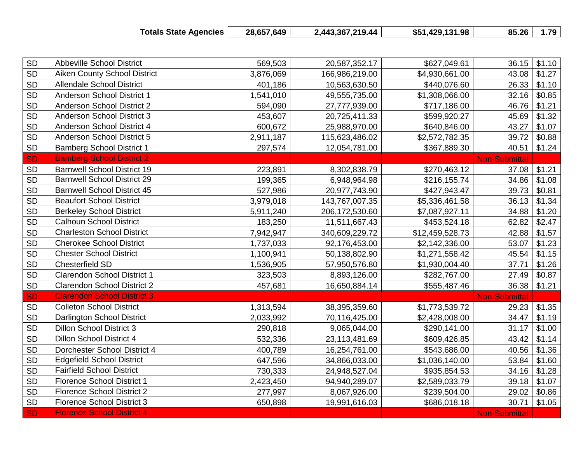| <b>Totals State Agencies</b> | 28,657,649 | 2,443,367,219.44 | \$51,429,131.98 |  | 85.26   1.79 |
|------------------------------|------------|------------------|-----------------|--|--------------|
|------------------------------|------------|------------------|-----------------|--|--------------|

| SD        | <b>Abbeville School District</b>    | 569,503   | 20,587,352.17  | \$627,049.61    |                      | $36.15$ \$1.10   |
|-----------|-------------------------------------|-----------|----------------|-----------------|----------------------|------------------|
| <b>SD</b> | <b>Aiken County School District</b> | 3,876,069 | 166,986,219.00 | \$4,930,661.00  | 43.08                | \$1.27           |
| SD        | <b>Allendale School District</b>    | 401,186   | 10,563,630.50  | \$440,076.60    | 26.33                | \$1.10           |
| <b>SD</b> | Anderson School District 1          | 1,541,010 | 49,555,735.00  | \$1,308,066.00  | 32.16                | \$0.85           |
| <b>SD</b> | <b>Anderson School District 2</b>   | 594,090   | 27,777,939.00  | \$717,186.00    | 46.76                | \$1.21           |
| <b>SD</b> | Anderson School District 3          | 453,607   | 20,725,411.33  | \$599,920.27    | 45.69                | \$1.32           |
| SD        | Anderson School District 4          | 600,672   | 25,988,970.00  | \$640,846.00    | 43.27                | \$1.07           |
| <b>SD</b> | Anderson School District 5          | 2,911,187 | 115,623,486.02 | \$2,572,782.35  | 39.72                | \$0.88           |
| <b>SD</b> | <b>Bamberg School District 1</b>    | 297,574   | 12,054,781.00  | \$367,889.30    | 40.51                | \$1.24           |
| <b>SD</b> | <b>Bamberg School District 2</b>    |           |                |                 | <b>Non-Submittal</b> |                  |
| <b>SD</b> | <b>Barnwell School District 19</b>  | 223,891   | 8,302,838.79   | \$270,463.12    |                      | $37.08$ \$1.21   |
| SD        | <b>Barnwell School District 29</b>  | 199,365   | 6,948,964.98   | \$216,155.74    |                      | $34.86$ \ \$1.08 |
| <b>SD</b> | <b>Barnwell School District 45</b>  | 527,986   | 20,977,743.90  | \$427,943.47    | 39.73                | \$0.81           |
| <b>SD</b> | <b>Beaufort School District</b>     | 3,979,018 | 143,767,007.35 | \$5,336,461.58  | 36.13                | \$1.34           |
| <b>SD</b> | <b>Berkeley School District</b>     | 5,911,240 | 206,172,530.60 | \$7,087,927.11  | 34.88                | \$1.20           |
| <b>SD</b> | <b>Calhoun School District</b>      | 183,250   | 11,511,667.43  | \$453,524.18    | 62.82                | \$2.47           |
| <b>SD</b> | <b>Charleston School District</b>   | 7,942,947 | 340,609,229.72 | \$12,459,528.73 | 42.88                | \$1.57           |
| <b>SD</b> | <b>Cherokee School District</b>     | 1,737,033 | 92,176,453.00  | \$2,142,336.00  | 53.07                | \$1.23           |
| <b>SD</b> | <b>Chester School District</b>      | 1,100,941 | 50,138,802.90  | \$1,271,558.42  | 45.54                | \$1.15           |
| <b>SD</b> | <b>Chesterfield SD</b>              | 1,536,905 | 57,950,576.80  | \$1,930,004.40  | 37.71                | \$1.26           |
| SD        | <b>Clarendon School District 1</b>  | 323,503   | 8,893,126.00   | \$282,767.00    | 27.49                | \$0.87           |
| <b>SD</b> | <b>Clarendon School District 2</b>  | 457,681   | 16,650,884.14  | \$555,487.46    | 36.38                | \$1.21           |
| <b>SD</b> | <b>Clarendon School District 3</b>  |           |                |                 | <b>Non-Submittal</b> |                  |
| <b>SD</b> | <b>Colleton School District</b>     | 1,313,594 | 38,395,359.60  | \$1,773,539.72  | 29.23                | \$1.35           |
| <b>SD</b> | Darlington School District          | 2,033,992 | 70,116,425.00  | \$2,428,008.00  | 34.47                | \$1.19           |
| <b>SD</b> | <b>Dillon School District 3</b>     | 290,818   | 9,065,044.00   | \$290,141.00    | 31.17                | \$1.00           |
| <b>SD</b> | Dillon School District 4            | 532,336   | 23,113,481.69  | \$609,426.85    | 43.42                | \$1.14           |
| SD        | Dorchester School District 4        | 400,789   | 16,254,761.00  | \$543,686.00    | 40.56                | \$1.36           |
| SD        | <b>Edgefield School District</b>    | 647,596   | 34,866,033.00  | \$1,036,140.00  | 53.84                | \$1.60           |
| SD        | <b>Fairfield School District</b>    | 730,333   | 24,948,527.04  | \$935,854.53    | 34.16                | \$1.28           |
| <b>SD</b> | <b>Florence School District 1</b>   | 2,423,450 | 94,940,289.07  | \$2,589,033.79  | 39.18                | \$1.07           |
| SD        | <b>Florence School District 2</b>   | 277,997   | 8,067,926.00   | \$239,504.00    | 29.02                | \$0.86           |
| SD        | <b>Florence School District 3</b>   | 650,898   | 19,991,616.03  | \$686,018.18    | 30.71                | \$1.05           |
| <b>SD</b> | <b>Florence School District 4</b>   |           |                |                 | <b>Non-Submittal</b> |                  |
|           |                                     |           |                |                 |                      |                  |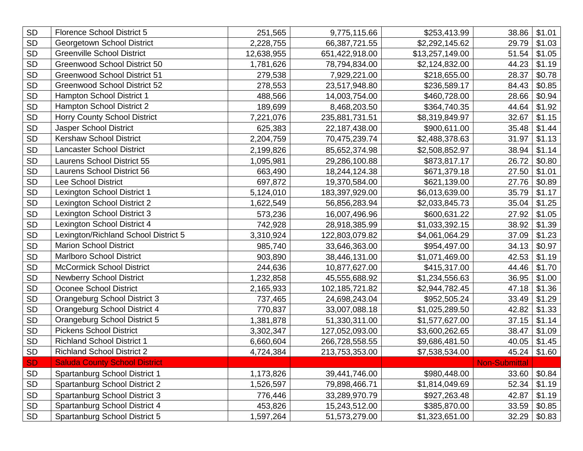| <b>SD</b>     | <b>Florence School District 5</b>    | 251,565    | 9,775,115.66   | \$253,413.99    | 38.86                | \$1.01 |
|---------------|--------------------------------------|------------|----------------|-----------------|----------------------|--------|
| SD            | Georgetown School District           | 2,228,755  | 66,387,721.55  | \$2,292,145.62  | 29.79                | \$1.03 |
| SD            | <b>Greenville School District</b>    | 12,638,955 | 651,422,918.00 | \$13,257,149.00 | 51.54                | \$1.05 |
| <b>SD</b>     | <b>Greenwood School District 50</b>  | 1,781,626  | 78,794,834.00  | \$2,124,832.00  | 44.23                | \$1.19 |
| <b>SD</b>     | <b>Greenwood School District 51</b>  | 279,538    | 7,929,221.00   | \$218,655.00    | 28.37                | \$0.78 |
| <b>SD</b>     | <b>Greenwood School District 52</b>  | 278,553    | 23,517,948.80  | \$236,589.17    | 84.43                | \$0.85 |
| SD            | Hampton School District 1            | 488,566    | 14,003,754.00  | \$460,728.00    | 28.66                | \$0.94 |
| <b>SD</b>     | Hampton School District 2            | 189,699    | 8,468,203.50   | \$364,740.35    | 44.64                | \$1.92 |
| <b>SD</b>     | <b>Horry County School District</b>  | 7,221,076  | 235,881,731.51 | \$8,319,849.97  | 32.67                | \$1.15 |
| <b>SD</b>     | Jasper School District               | 625,383    | 22,187,438.00  | \$900,611.00    | 35.48                | \$1.44 |
| <b>SD</b>     | <b>Kershaw School District</b>       | 2,204,759  | 70,475,239.74  | \$2,488,378.63  | 31.97                | \$1.13 |
| <b>SD</b>     | <b>Lancaster School District</b>     | 2,199,826  | 85,652,374.98  | \$2,508,852.97  | 38.94                | \$1.14 |
| <b>SD</b>     | Laurens School District 55           | 1,095,981  | 29,286,100.88  | \$873,817.17    | 26.72                | \$0.80 |
| <b>SD</b>     | <b>Laurens School District 56</b>    | 663,490    | 18,244,124.38  | \$671,379.18    | 27.50                | \$1.01 |
| <b>SD</b>     | <b>Lee School District</b>           | 697,872    | 19,370,584.00  | \$621,139.00    | 27.76                | \$0.89 |
| SD            | Lexington School District 1          | 5,124,010  | 183,397,929.00 | \$6,013,639.00  | 35.79                | \$1.17 |
| <b>SD</b>     | Lexington School District 2          | 1,622,549  | 56,856,283.94  | \$2,033,845.73  | 35.04                | \$1.25 |
| SD            | Lexington School District 3          | 573,236    | 16,007,496.96  | \$600,631.22    | 27.92                | \$1.05 |
| SD            | Lexington School District 4          | 742,928    | 28,918,385.99  | \$1,033,392.15  | 38.92                | \$1.39 |
| SD            | Lexington/Richland School District 5 | 3,310,924  | 122,803,079.82 | \$4,061,064.29  | 37.09                | \$1.23 |
| SD            | <b>Marion School District</b>        | 985,740    | 33,646,363.00  | \$954,497.00    | 34.13                | \$0.97 |
| <b>SD</b>     | <b>Marlboro School District</b>      | 903,890    | 38,446,131.00  | \$1,071,469.00  | 42.53                | \$1.19 |
| <b>SD</b>     | <b>McCormick School District</b>     | 244,636    | 10,877,627.00  | \$415,317.00    | 44.46                | \$1.70 |
| <b>SD</b>     | <b>Newberry School District</b>      | 1,232,858  | 45,555,688.92  | \$1,234,556.63  | 36.95                | \$1.00 |
| <b>SD</b>     | Oconee School District               | 2,165,933  | 102,185,721.82 | \$2,944,782.45  | 47.18                | \$1.36 |
| $\mathsf{SD}$ | Orangeburg School District 3         | 737,465    | 24,698,243.04  | \$952,505.24    | 33.49                | \$1.29 |
| SD            | Orangeburg School District 4         | 770,837    | 33,007,088.18  | \$1,025,289.50  | 42.82                | \$1.33 |
| SD            | Orangeburg School District 5         | 1,381,878  | 51,330,311.00  | \$1,577,627.00  | 37.15                | \$1.14 |
| <b>SD</b>     | <b>Pickens School District</b>       | 3,302,347  | 127,052,093.00 | \$3,600,262.65  | 38.47                | \$1.09 |
| <b>SD</b>     | <b>Richland School District 1</b>    | 6,660,604  | 266,728,558.55 | \$9,686,481.50  | 40.05                | \$1.45 |
| <b>SD</b>     | <b>Richland School District 2</b>    | 4,724,384  | 213,753,353.00 | \$7,538,534.00  | 45.24                | \$1.60 |
| <b>SD</b>     | <b>Saluda County School District</b> |            |                |                 | <b>Non-Submittal</b> |        |
| $\mathsf{SD}$ | Spartanburg School District 1        | 1,173,826  | 39,441,746.00  | \$980,448.00    | 33.60                | \$0.84 |
| SD            | Spartanburg School District 2        | 1,526,597  | 79,898,466.71  | \$1,814,049.69  | 52.34                | \$1.19 |
| $\mathsf{SD}$ | Spartanburg School District 3        | 776,446    | 33,289,970.79  | \$927,263.48    | 42.87                | \$1.19 |
| SD            | Spartanburg School District 4        | 453,826    | 15,243,512.00  | \$385,870.00    | 33.59                | \$0.85 |
| <b>SD</b>     | Spartanburg School District 5        | 1,597,264  | 51,573,279.00  | \$1,323,651.00  | 32.29                | \$0.83 |